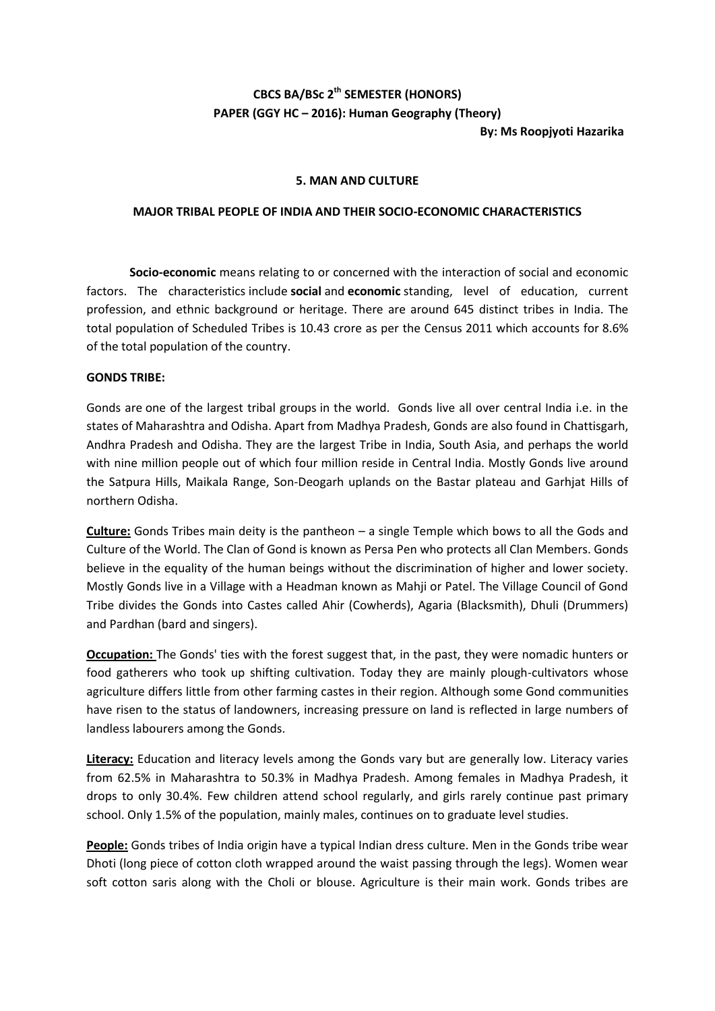## **CBCS BA/BSc 2th SEMESTER (HONORS) PAPER (GGY HC – 2016): Human Geography (Theory)**

**By: Ms Roopjyoti Hazarika**

## **5. MAN AND CULTURE**

## **MAJOR TRIBAL PEOPLE OF INDIA AND THEIR SOCIO-ECONOMIC CHARACTERISTICS**

**Socio-economic** means relating to or concerned with the interaction of social and economic factors. The characteristics include **social** and **economic** standing, level of education, current profession, and ethnic background or heritage. There are around 645 distinct tribes in India. The total population of Scheduled Tribes is 10.43 crore as per the Census 2011 which accounts for 8.6% of the total population of the country.

## **GONDS TRIBE:**

Gonds are one of the largest tribal groups in the world. Gonds live all over central India i.e. in the states of Maharashtra and Odisha. Apart from Madhya Pradesh, Gonds are also found in Chattisgarh, Andhra Pradesh and Odisha. They are the largest Tribe in India, South Asia, and perhaps the world with nine million people out of which four million reside in Central India. Mostly Gonds live around the Satpura Hills, Maikala Range, Son-Deogarh uplands on the Bastar plateau and Garhjat Hills of northern Odisha.

**Culture:** Gonds Tribes main deity is the pantheon – a single Temple which bows to all the Gods and Culture of the World. The Clan of Gond is known as Persa Pen who protects all Clan Members. Gonds believe in the equality of the human beings without the discrimination of higher and lower society. Mostly Gonds live in a Village with a Headman known as Mahji or Patel. The Village Council of Gond Tribe divides the Gonds into Castes called Ahir (Cowherds), Agaria (Blacksmith), Dhuli (Drummers) and Pardhan (bard and singers).

**Occupation:** The Gonds' ties with the forest suggest that, in the past, they were nomadic hunters or food gatherers who took up shifting cultivation. Today they are mainly plough-cultivators whose agriculture differs little from other farming castes in their region. Although some Gond communities have risen to the status of landowners, increasing pressure on land is reflected in large numbers of landless labourers among the Gonds.

**Literacy:** Education and literacy levels among the Gonds vary but are generally low. Literacy varies from 62.5% in Maharashtra to 50.3% in Madhya Pradesh. Among females in Madhya Pradesh, it drops to only 30.4%. Few children attend school regularly, and girls rarely continue past primary school. Only 1.5% of the population, mainly males, continues on to graduate level studies.

**People:** Gonds tribes of India origin have a typical Indian dress culture. Men in the Gonds tribe wear Dhoti (long piece of cotton cloth wrapped around the waist passing through the legs). Women wear soft cotton saris along with the Choli or blouse. Agriculture is their main work. Gonds tribes are